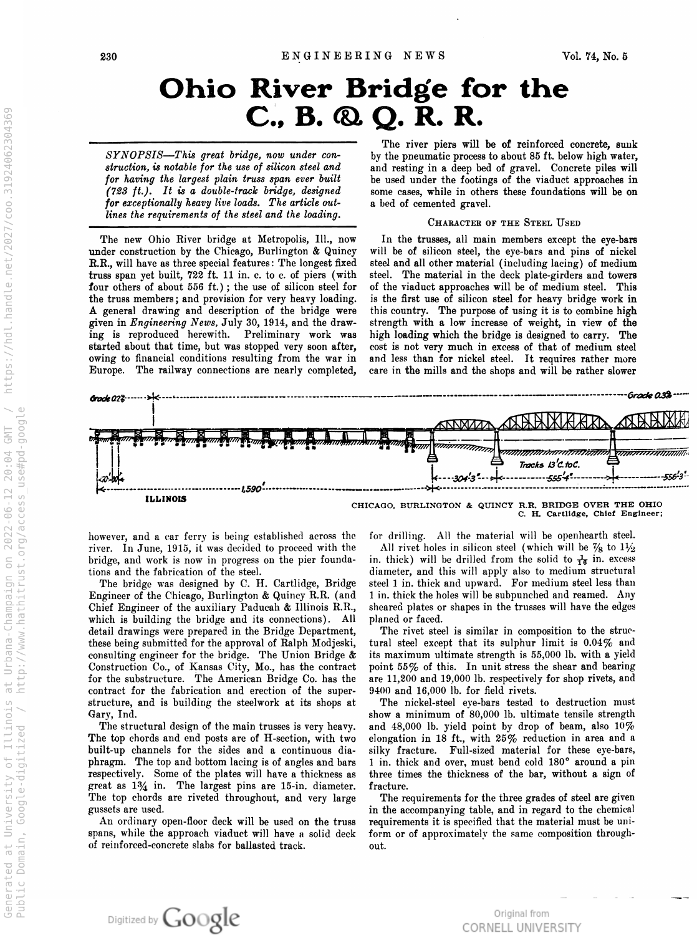# Ohio River Bridge for the C., B. Q. Q. R. R.

SYNOPSIS-This great bridge, now under construction, is notable for the use of silicon steel and for having the largest plain truss span ever built (723 ft.). It is <sup>a</sup> double-track bridge, designed for exceptionally heavy live loads. The article out lines the requirements of the steel and the loading.

The new Ohio River bridge at Metropolis, Ill., now under construction by the Chicago, Burlington & Quincy R.R., will have as three special features : The longest fixed truss span yet built, <sup>722</sup> ft. <sup>11</sup> in. c. to c. of piers (with four others of about <sup>556</sup> ft.) ; the use of silicon steel for the truss members; and provision for very heavy loading. A general drawing and description of the bridge were given in Engineering News, July 30, 1914, and the drawing is reproduced herewith. Preliminary work was started about that time, but was stopped very soon after, owing to financial conditions resulting from the war in Europe. The railway connections are nearly completed,

The river piers will be of reinforced concrete, sunk by the pneumatic process to about 85 ft. below high water, and resting in a deep bed of gravel. Concrete piles will be used under the footings of the viaduct approaches in some cases, while in others these foundations will be on a bed of cemented gravel.

#### Character of the Steel Used

In the trusses, all main members except the eye-bars will be of silicon steel, the eye-bars and pins of nickel steel and all other material (including lacing) of medium steel. The material in the deck plate-girders and towers of the viaduct approaches will be of medium steel. This is the first use of silicon steel for heavy bridge work in this country. The purpose of using it is to combine high strength with a low increase of weight, in view of the high loading which the bridge is designed to carry. The cost is not very much in excess of that of medium steel and less than for nickel steel. It requires rather more care in the mills and the shops and will be rather slower



however, and <sup>a</sup> car ferry is being established across the river. In June, 1915, it was decided to proceed with the bridge, and work is now in progress on the pier founda tions and the fabrication of the steel.

The bridge was designed by C. H. Cartlidge, Bridge Engineer of the Chicago, Burlington & Quincy R.R. (and Chief Engineer of the auxiliary Paducah & Illinois R.R., which is building the bridge and its connections). All detail drawings were prepared in the Bridge Department, these being submitted for the approval of Ralph Modjeski, consulting engineer for the bridge. The Union Bridge & Construction Co., of Kansas City, Mo., has the contract for the substructure. The American Bridge Co. has the contract for the fabrication and erection of the super structure, and is building the steelwork at its shops at Gary, Ind.

The structural design of the main trusses is very heavy. The top chords and end posts are of H-section, with two built-up channels for the sides and <sup>a</sup> continuous dia phragm. The top and bottom lacing is of angles and bars respectively. Some of the plates will have <sup>a</sup> thickness as great as  $1\frac{3}{4}$  in. The largest pins are 15-in. diameter. The top chords are riveted throughout, and very large gussets are used.

An ordinary open-floor deck will be used on the truss spans, while the approach viaduct will have <sup>a</sup> solid deck of reinforced-concrete slabs for ballasted track.

C. H. Cartlidge, Chief Engineer;

for drilling. All the material will be openhearth steel. All rivet holes in silicon steel (which will be  $\frac{7}{8}$  to  $1\frac{1}{2}$ in. thick) will be drilled from the solid to  $\frac{1}{16}$  in. excess diameter, and this will apply also to medium structural steel <sup>1</sup> in. thick and upward. For medium steel less than 1 in. thick the holes will be subpunched and reamed. Any sheared plates or shapes in the trusses will have the edges planed or faced.

The rivet steel is similar in composition to the struc tural steel except that its sulphur limit is  $0.04\%$  and its maximum ultimate strength is 55,000 lb. with <sup>a</sup> yield point 55% of this. In unit stress the shear and bearing are 11,200 and 19,000 lb. respectively for shop rivets, and 9400 and 16,000 lb. for field rivets.

The nickel-steel eye-bars tested to destruction must show a minimum of 80,000 lb. ultimate tensile strength and 48,000 lb. yield point by drop of beam, also  $10\%$ elongation in <sup>18</sup> ft., with 25% reduction in area and <sup>a</sup> silky fracture. Full-sized material for these eye-bars, 1 in. thick and over, must bend cold 180° around <sup>a</sup> pin three times the thickness of the bar, without <sup>a</sup> sign of fracture.

The requirements for the three grades of steel are given in the accompanying table, and in regard to the chemical requirements it is specified that the material must be uni form or of approximately the same composition through out.

https://hdl.handle.net/2027/coo.31924062304369 http://www.hathitrust.org/access use#pd-googl at Urbana-Champaign on 2022-06-12 20:04 GMT Generated at University of Illinois<br>Public Domain, Google-digitized /

Digitized by Google

Original from CORNELL UNIVERSIT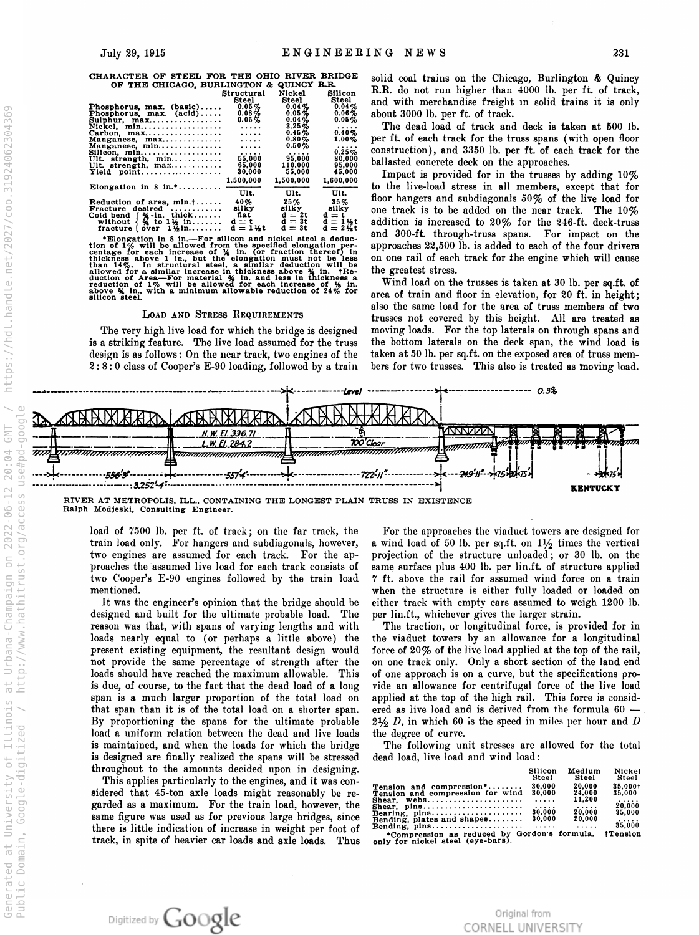CHARACTER OF STEEL FOR THE OHIO RIVER BRIDGE OF THE CHICAGO, BURLINGTON & QUINCY R.R.

| or inn chlonoo, bohamolon w                         |                            |                 |                  |
|-----------------------------------------------------|----------------------------|-----------------|------------------|
|                                                     | Structural<br><b>Steel</b> | Nickel<br>Steel | Silicon<br>Steel |
| Phosphorus, $max.$ (basic)                          | $0.05\%$                   | 0.04%           | $0.04\%$         |
| Phosphorus, $max.$ $(a c d) \ldots$ .               | $0.08\%$                   | $0.05\%$        | 0.06%            |
| Sulphur, max                                        | $0.05\%$                   | 0.04%           | $0.05\%$         |
| Nickel, min                                         | .                          | $3.25\%$        | .                |
| Carbon. $max$                                       | .                          | $0.45\%$        | 0.40%            |
| Manganese, max                                      | .                          | 0.80%           | $1.00\%$         |
| Manganese, min                                      | .                          | $0.50\%$        | .                |
| Silicon. min                                        | .                          |                 | 0.25%            |
| Ult. strength, $min$                                | 55,000                     | .<br>95.000     | 80.000           |
| Ult. strength, max                                  | 65.000                     | 110,000         | 95,000           |
|                                                     | 30.000                     | 55.000          | 45,000           |
| Yield point                                         |                            |                 |                  |
|                                                     | 1.500.000                  | 1,500,000       | 1,600,000        |
| Elongation in $8$ in. $\bullet$                     |                            |                 |                  |
|                                                     | Ult.                       | Ult.            | Ult.             |
| Reduction of area, $min.t$                          | $40\%$                     | 25%             | $35 \%$          |
| Fracture desired                                    | silky                      | silky           | silky            |
| Cold bend $\left[\frac{M}{2} - \ln \right]$ . thick | flat                       | $d = 2t$        | $d = t$          |
| without $\frac{1}{2}$ is $\frac{1}{2}$ in           | $d = t$                    | $d = 3t$        | $d = 1$ % t      |
| fracture $\lceil$ over $1\frac{1}{2}$ in            | d = 1½t                    | $d = 3t$        | $d = 25$         |
|                                                     |                            |                 |                  |

\*Elongation in 8 in.—For silicon and nickel steel a deduction of 1% will be allowed from the specified elongation per-<br>centage for each increase of  $\frac{1}{4}$  in. (or fraction thereof) in<br>thickness above 1 in., but the elo

#### Load and Stress Requirements

The very high live load for which the bridge is designed is a striking feature. The live load assumed for the truss design is as follows: On the near track, two engines of tbe 2:8:0 class of Cooper's E-90 loading, followed by <sup>a</sup> train solid coal trains on the Chicago, Burlington & Quincy R.R. do not run higher than 4000 lb. per ft. of track, and with merchandise freight in solid trains it is only about 3000 lb. per ft. of track.

The dead load of track and deck is taken at 500 lb. per ft. of each track for the truss spans (with open floor construction), and 3350 lb. per ft. of each track for the ballasted concrete deck on the approaches.

Impact is provided for in the trusses by adding 10% to the live-load stress in all members, except that for floor hangers and subdiagonals 50% of the live load for one track is to be added on the near track. The 10% addition is increased to 20% for the 246-ft. deck-truss and 300-ft. through-truss spans. For impact on the approaches 22,500 lb. is added to each of the four drivers on one rail of each track for the engine which will cause the greatest stress.

Wind load on the trusses is taken at <sup>30</sup> lb. per sq.ft. of area of train and floor in elevation, for 20 ft. in height; also the same load for the area of truss members of two trusses not covered by this height. All are treated as moving loads. For the top laterals on through spans and the bottom laterals on the deck span, the wind load is taken at 50 lb. per sq.ft. on the exposed area of truss mem bers for two trusses. This also is treated as moving load.



RIVER AT METROPOLIS, ILL., CONTAINING THE LONGEST PLAIN TRUSS IN EXISTENCE Ralph Modjeski, Consulting Engineer.

load of 7500 lb. per ft. of track; on the far track, the train load only. For hangers and subdiagonals, however, two engines are assumed for each track. For the ap proaches the assumed live load for each track consists of two Cooper's E-90 engines followed by the train load mentioned.

It was the engineer's opinion that the bridge should be designed and built for the ultimate probable load. The reason was that, with spans of varying lengths and with loads nearly equal to (or perhaps <sup>a</sup> little above) the present existing equipment, the resultant design would not provide the same percentage of strength after the loads should have reached the maximum allowable. This is due, of course, to the fact that the dead load of <sup>a</sup> long span is a much larger proportion of the total load on that span than it is of the total load on a shorter span. By proportioning the spans for the ultimate probable load a uniform relation between the dead and live loads is maintained, and when the loads for which the bridge is designed are finally realized the spans will be stressed throughout to the amounts decided upon in designing.

This applies particularly to the engines, and it was con sidered that 45-ton axle loads might reasonably be re garded as a maximum. For the train load, however, the same figure was used as for previous large bridges, since there is little indication of increase in weight per foot of track, in spite of heavier car loads and axle loads. Thus

Digitized by Google

For the approaches the viaduct towers are designed for a wind load of 50 lb. per sq.ft. on  $1\frac{1}{2}$  times the vertical projection of the structure unloaded ; or 30 lb. on the same surface plus 400 lb. per lin.ft. of structure applied 7 ft. above the rail for assumed wind force on a train when the structure is either fully loaded or loaded on either track with empty cars assumed to weigh 1200 lb. per lin.ft., whichever gives the larger strain.

The traction, or longitudinal force, is provided for in the viaduct towers by an allowance for a longitudinal force of 20% of the live load applied at the top of the rail, on one track only. Only a short section of the land end of one approach is on a curve, but the specifications pro vide an allowance for centrifugal force of the live load applied at the top of the high rail. This force is consid ered as iive load and is derived from the formula <sup>60</sup> —  $2\frac{1}{2}$  D, in which 60 is the speed in miles per hour and D the degree of curve.

The following unit stresses are allowed for the total dead load, live load and wind load :

|                                                                  | Silicon<br>Steel | Medium<br><b>Steel</b> | Nickel<br>Steel |
|------------------------------------------------------------------|------------------|------------------------|-----------------|
| Tension and compression <sup>*</sup>                             | 30.000           | 20.000                 | 35.000+         |
| Tension and compression for wind                                 | 30,000           | 24.000                 | 35.000          |
|                                                                  | $\cdots$         | 11.200                 | .               |
| Shear. $\texttt{bins} \dots \dots \dots \dots \dots \dots \dots$ | .                | .                      | 20.000          |
| Bearing, pins                                                    | 30.000           | 20.000                 | 35,000          |
| Bending, plates and shapes                                       | 30.000           | 20.000                 | .               |
|                                                                  |                  | .                      | 35.000          |
| *Compression as reduced by Gordon's formula.                     |                  |                        | †Tension        |

only for nickel steel (eye-bars).

Original from CORNELL UNIVERSITY

https://hdl.handle.net/2027/coo.31924062304369 GMT 20:04 **USC#DO** at Urbana-Champaign on 2022-06-12 http://www.hathitrust.org/access Generated at University of Illinois<br>Public Domain, Google-digitized /